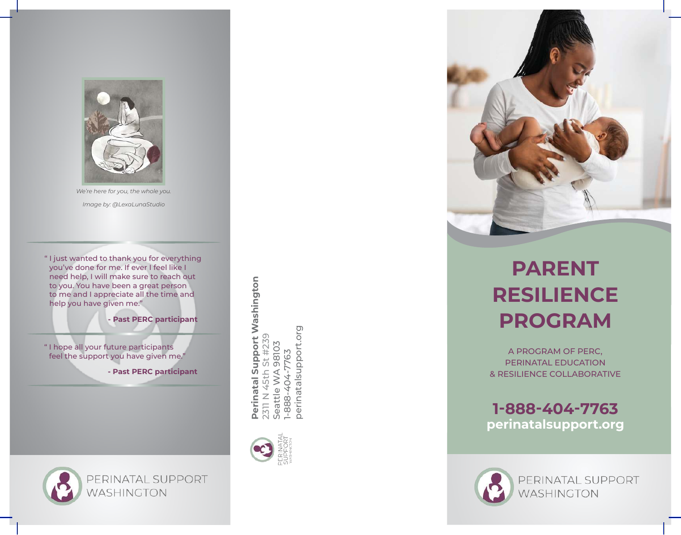

*We're here for you, the whole you. Image by: @LexaLunaStudio*

" I just wanted to thank you for everything you've done for me. If ever I feel like I need help, I will make sure to reach out to you. You have been a great person to me and I appreciate all the time and help you have given me."

**- Past PERC participant** 

" I hope all your future participants feel the support you have given me."

**- Past PERC participant** 

PERINATAL SUPPORT

WASHINGTON



Perinatal Support Washington **Perinatal Support Washington** Seattle WA 98103<br>1-888-404-7763<br>perinatalsupport.org perinatalsupport.org 2311 N 45th St #239 2311 N 45th St #239 Seattle WA 98103 1-888-404-7763



# **PARENT RESILIENCE PROGRAM**

A PROGRAM OF PERC, PERINATAL EDUCATION & RESILIENCE COLLABORATIVE

**1-888-404-7763 perinatalsupport.org**